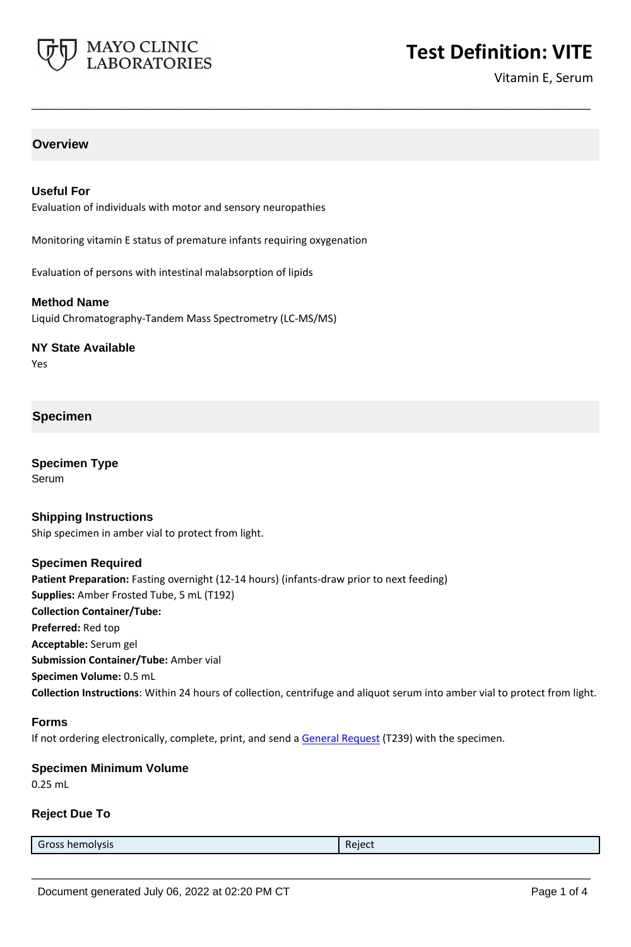

# **Test Definition: VITE**

Vitamin E, Serum

# **Overview**

## **Useful For**

Evaluation of individuals with motor and sensory neuropathies

Monitoring vitamin E status of premature infants requiring oxygenation

**\_\_\_\_\_\_\_\_\_\_\_\_\_\_\_\_\_\_\_\_\_\_\_\_\_\_\_\_\_\_\_\_\_\_\_\_\_\_\_\_\_\_\_\_\_\_\_\_\_\_\_**

Evaluation of persons with intestinal malabsorption of lipids

#### **Method Name**

Liquid Chromatography-Tandem Mass Spectrometry (LC-MS/MS)

#### **NY State Available**

Yes

## **Specimen**

**Specimen Type Serum** 

#### **Shipping Instructions**

Ship specimen in amber vial to protect from light.

#### **Specimen Required**

**Patient Preparation:** Fasting overnight (12-14 hours) (infants-draw prior to next feeding) **Supplies:** Amber Frosted Tube, 5 mL (T192) **Collection Container/Tube: Preferred:** Red top **Acceptable:** Serum gel **Submission Container/Tube:** Amber vial **Specimen Volume:** 0.5 mL **Collection Instructions**: Within 24 hours of collection, centrifuge and aliquot serum into amber vial to protect from light.

#### **Forms**

If not ordering electronically, complete, print, and send a [General Request](https://www.mayocliniclabs.com/it-mmfiles/general-request-form.pdf) (T239) with the specimen.

#### **Specimen Minimum Volume**

0.25 mL

#### **Reject Due To**

Gross hemolysis **Register Structure Community** Reject

**\_\_\_\_\_\_\_\_\_\_\_\_\_\_\_\_\_\_\_\_\_\_\_\_\_\_\_\_\_\_\_\_\_\_\_\_\_\_\_\_\_\_\_\_\_\_\_\_\_\_\_**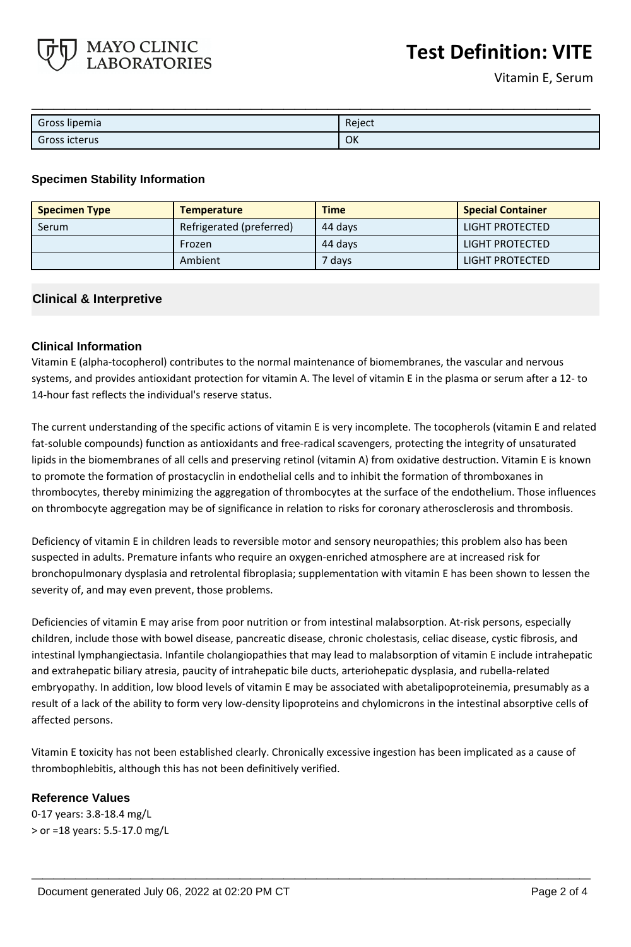

| Gross lipemia | Reject |
|---------------|--------|
| Gross icterus | OK     |

## **Specimen Stability Information**

MAYO CLINIC **LABORATORIES** 

| <b>Specimen Type</b> | <b>Temperature</b>       | <b>Time</b> | <b>Special Container</b> |
|----------------------|--------------------------|-------------|--------------------------|
| Serum                | Refrigerated (preferred) | 44 days     | LIGHT PROTECTED          |
|                      | Frozen                   | 44 days     | LIGHT PROTECTED          |
|                      | Ambient                  | 7 daysi     | LIGHT PROTECTED          |

# **Clinical & Interpretive**

## **Clinical Information**

Vitamin E (alpha-tocopherol) contributes to the normal maintenance of biomembranes, the vascular and nervous systems, and provides antioxidant protection for vitamin A. The level of vitamin E in the plasma or serum after a 12- to 14-hour fast reflects the individual's reserve status.

The current understanding of the specific actions of vitamin E is very incomplete. The tocopherols (vitamin E and related fat-soluble compounds) function as antioxidants and free-radical scavengers, protecting the integrity of unsaturated lipids in the biomembranes of all cells and preserving retinol (vitamin A) from oxidative destruction. Vitamin E is known to promote the formation of prostacyclin in endothelial cells and to inhibit the formation of thromboxanes in thrombocytes, thereby minimizing the aggregation of thrombocytes at the surface of the endothelium. Those influences on thrombocyte aggregation may be of significance in relation to risks for coronary atherosclerosis and thrombosis.

Deficiency of vitamin E in children leads to reversible motor and sensory neuropathies; this problem also has been suspected in adults. Premature infants who require an oxygen-enriched atmosphere are at increased risk for bronchopulmonary dysplasia and retrolental fibroplasia; supplementation with vitamin E has been shown to lessen the severity of, and may even prevent, those problems.

Deficiencies of vitamin E may arise from poor nutrition or from intestinal malabsorption. At-risk persons, especially children, include those with bowel disease, pancreatic disease, chronic cholestasis, celiac disease, cystic fibrosis, and intestinal lymphangiectasia. Infantile cholangiopathies that may lead to malabsorption of vitamin E include intrahepatic and extrahepatic biliary atresia, paucity of intrahepatic bile ducts, arteriohepatic dysplasia, and rubella-related embryopathy. In addition, low blood levels of vitamin E may be associated with abetalipoproteinemia, presumably as a result of a lack of the ability to form very low-density lipoproteins and chylomicrons in the intestinal absorptive cells of affected persons.

Vitamin E toxicity has not been established clearly. Chronically excessive ingestion has been implicated as a cause of thrombophlebitis, although this has not been definitively verified.

**\_\_\_\_\_\_\_\_\_\_\_\_\_\_\_\_\_\_\_\_\_\_\_\_\_\_\_\_\_\_\_\_\_\_\_\_\_\_\_\_\_\_\_\_\_\_\_\_\_\_\_**

## **Reference Values**

0-17 years: 3.8-18.4 mg/L > or =18 years: 5.5-17.0 mg/L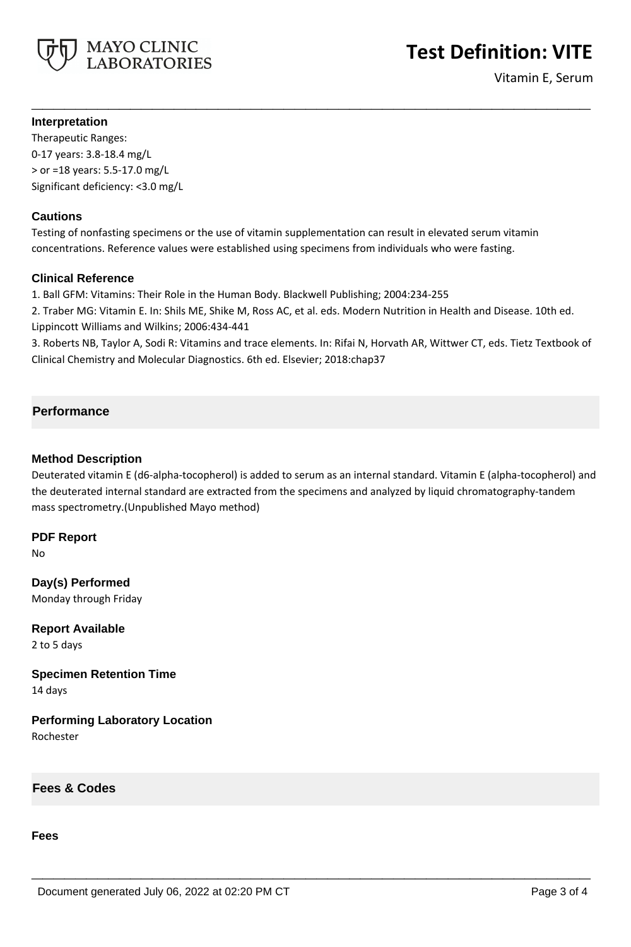

# **Test Definition: VITE**

Vitamin E, Serum

## **Interpretation**

Therapeutic Ranges: 0-17 years: 3.8-18.4 mg/L > or =18 years: 5.5-17.0 mg/L Significant deficiency: <3.0 mg/L

# **Cautions**

Testing of nonfasting specimens or the use of vitamin supplementation can result in elevated serum vitamin concentrations. Reference values were established using specimens from individuals who were fasting.

## **Clinical Reference**

1. Ball GFM: Vitamins: Their Role in the Human Body. Blackwell Publishing; 2004:234-255

2. Traber MG: Vitamin E. In: Shils ME, Shike M, Ross AC, et al. eds. Modern Nutrition in Health and Disease. 10th ed. Lippincott Williams and Wilkins; 2006:434-441

3. Roberts NB, Taylor A, Sodi R: Vitamins and trace elements. In: Rifai N, Horvath AR, Wittwer CT, eds. Tietz Textbook of Clinical Chemistry and Molecular Diagnostics. 6th ed. Elsevier; 2018:chap37

**\_\_\_\_\_\_\_\_\_\_\_\_\_\_\_\_\_\_\_\_\_\_\_\_\_\_\_\_\_\_\_\_\_\_\_\_\_\_\_\_\_\_\_\_\_\_\_\_\_\_\_**

# **Performance**

## **Method Description**

Deuterated vitamin E (d6-alpha-tocopherol) is added to serum as an internal standard. Vitamin E (alpha-tocopherol) and the deuterated internal standard are extracted from the specimens and analyzed by liquid chromatography-tandem mass spectrometry.(Unpublished Mayo method)

**\_\_\_\_\_\_\_\_\_\_\_\_\_\_\_\_\_\_\_\_\_\_\_\_\_\_\_\_\_\_\_\_\_\_\_\_\_\_\_\_\_\_\_\_\_\_\_\_\_\_\_**

**PDF Report**

No

**Day(s) Performed** Monday through Friday

**Report Available** 2 to 5 days

**Specimen Retention Time** 14 days

**Performing Laboratory Location** Rochester

**Fees & Codes**

**Fees**